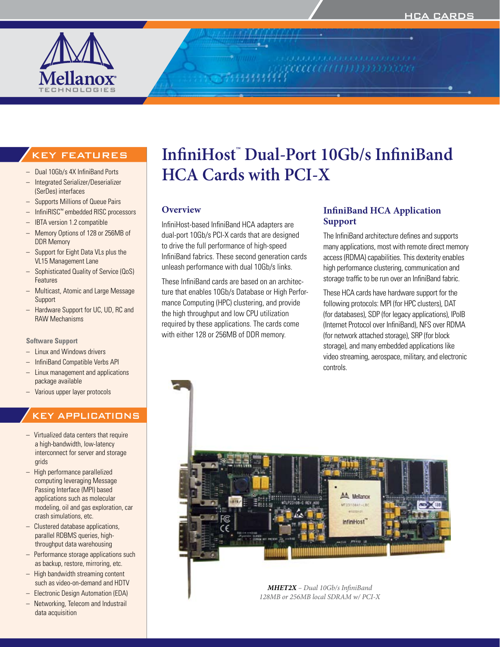

#### KEY FEATURES

- Dual 10Gb/s 4X InfiniBand Ports
- Integrated Serializer/Deserializer (SerDes) interfaces
- Supports Millions of Queue Pairs
- InfiniRISC™ embedded RISC processors
- IBTA version 1.2 compatible
- Memory Options of 128 or 256MB of DDR Memory
- Support for Eight Data VLs plus the VL15 Management Lane
- Sophisticated Quality of Service (QoS) Features
- **Multicast, Atomic and Large Message** Support
- Hardware Support for UC, UD, RC and RAW Mechanisms

#### **Software Support**

- Linux and Windows drivers
- InfiniBand Compatible Verbs API
- Linux management and applications package available
- Various upper layer protocols

## KEY APPLICATIONS

- $-$  Virtualized data centers that require a high-bandwidth, low-latency interconnect for server and storage grids
- High performance parallelized computing leveraging Message Passing Interface (MPI) based applications such as molecular modeling, oil and gas exploration, car crash simulations, etc.
- Clustered database applications, parallel RDBMS queries, highthroughput data warehousing
- Performance storage applications such as backup, restore, mirroring, etc.
- $-$  High bandwidth streaming content such as video-on-demand and HDTV
- **Electronic Design Automation (EDA)**
- Networking, Telecom and Industrail data acquisition

# **InfiniHost™ Dual-Port 10Gb/s InfiniBand HCA Cards with PCI-X**

#### **Overview**

InfiniHost-based InfiniBand HCA adapters are dual-port 10Gb/s PCI-X cards that are designed to drive the full performance of high-speed InfiniBand fabrics. These second generation cards unleash performance with dual 10Gb/s links.

These InfiniBand cards are based on an architecture that enables 10Gb/s Database or High Performance Computing (HPC) clustering, and provide the high throughput and low CPU utilization required by these applications. The cards come with either 128 or 256MB of DDR memory.

#### **InfiniBand HCA Application Support**

The InfiniBand architecture defines and supports many applications, most with remote direct memory access (RDMA) capabilities. This dexterity enables high performance clustering, communication and storage traffic to be run over an InfiniBand fabric.

These HCA cards have hardware support for the following protocols: MPI (for HPC clusters), DAT (for databases), SDP (for legacy applications), IPoIB (Internet Protocol over InfiniBand), NFS over RDMA (for network attached storage), SRP (for block storage), and many embedded applications like video streaming, aerospace, military, and electronic controls.



*MHET2X – Dual 10Gb/s InfiniBand 128MB or 256MB local SDRAM w/ PCI-X*